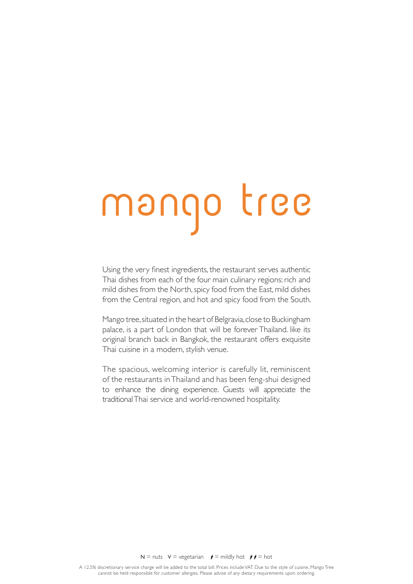# mango tree

Using the very fnest ingredients, the restaurant serves authentic Thai dishes from each of the four main culinary regions: rich and mild dishes from the North, spicy food from the East, mild dishes from the Central region, and hot and spicy food from the South.

Mango tree, situated in the heart of Belgravia, close to Buckingham palace, is a part of London that will be forever Thailand. like its original branch back in Bangkok, the restaurant offers exquisite Thai cuisine in a modern, stylish venue.

The spacious, welcoming interior is carefully lit, reminiscent of the restaurants in Thailand and has been feng-shui designed to enhance the dining experience. Guests will appreciate the traditional Thai service and world-renowned hospitality.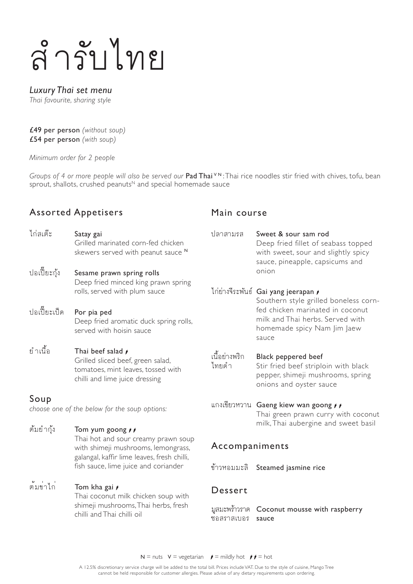# ÿำ�รับไทย

#### *Luxury Thai set menu*

*Thai favourite, sharing style*

£49 per person *(without soup)*  £54 per person *(with soup)*

*Minimum order for 2 people*

*Groups of 4 or more people will also be served our Pad Thai* VN: Thai rice noodles stir fried with chives, tofu, bean sprout, shallots, crushed peanuts<sup>N</sup> and special homemade sauce

#### Assorted Appetisers

- ไก่สเต๊ะ Satay gai Grilled marinated corn-fed chicken skewers served with peanut sauce
- ปอเปี๊ยะกุ้ง Sesame prawn spring rolls Deep fried minced king prawn spring rolls, served with plum sauce
- ปอเปี๊ยะเป็ด Por pia ped Deep fried aromatic duck spring ro served with hoisin sauce
- ยำเนื้อ Thai beef salad  $\overrightarrow{r}$ Grilled sliced beef, green salad, tomatoes, mint leaves, tossed with chilli and lime juice dressing

#### Soup

*choose one of the below for the soup options:*

ต้มยำกุ้ง Tom yum goong  $\rightarrow \rightarrow$ Thai hot and sour creamy prawn so with shimeji mushrooms, lemongras galangal, kaffir lime leaves, fresh chill fish sauce, lime juice and coriander

#### ต้มข่าไก่ Tom kha gai  $\gamma$  Thai coconut milk chicken soup with shimeji mushrooms, Thai herbs, fresh chilli and Thai chilli oil

#### Main course

| Ń                    | ปลาสามรส               | Sweet & sour sam rod<br>Deep fried fillet of seabass topped<br>with sweet, sour and slightly spicy<br>sauce, pineapple, capsicums and<br>onion                                                |
|----------------------|------------------------|-----------------------------------------------------------------------------------------------------------------------------------------------------------------------------------------------|
| ng<br>$\parallel$ s, |                        | ไก่ย่างจีระพันธ์ Gai yang jeerapan /<br>Southern style grilled boneless corn-<br>fed chicken marinated in coconut<br>milk and Thai herbs. Served with<br>homemade spicy Nam Jim Jaew<br>sauce |
|                      | เนื้อย่างพริก<br>ไทยดำ | <b>Black peppered beef</b><br>Stir fried beef striploin with black<br>pepper, shimeji mushrooms, spring<br>onions and oyster sauce                                                            |
|                      |                        | แกงเขียวหวาน Gaeng kiew wan goong , ,<br>Thai green prawn curry with coconut<br>milk, Thai aubergine and sweet basil                                                                          |
| pup<br>SS,           | Accompaniments         |                                                                                                                                                                                               |
| li.                  | ข้าวหอมมะลิ            | Steamed jasmine rice                                                                                                                                                                          |
| 'n                   | Dessert                |                                                                                                                                                                                               |

มูสมะพร้าวราด Coconut mousse with raspberry ชอสราสเบอร sauce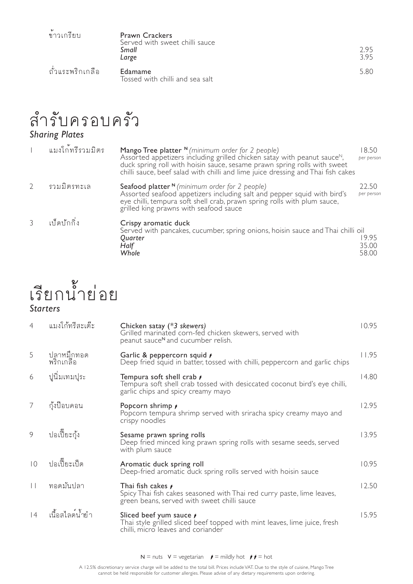| v<br>ขาวเกรียบ   | <b>Prawn Crackers</b><br>Served with sweet chilli sauce<br>Small<br>Large | 295<br>3.95 |
|------------------|---------------------------------------------------------------------------|-------------|
| ถั่วแระพริกเกลือ | Edamame<br>Tossed with chilli and sea salt                                | 5.80        |

# ลำรับครอบครัว

#### *Sharing Plates*

| แมงใก <sup>้</sup> ทรีรวมมิตร | Mango Tree platter $N$ (minimum order for 2 people)<br>Assorted appetizers including grilled chicken satay with peanut sauce <sup>N</sup> ,<br>duck spring roll with hoisin sauce, sesame prawn spring rolls with sweet<br>chilli sauce, beef salad with chilli and lime juice dressing and Thai fish cakes | 18.50<br>per person     |
|-------------------------------|-------------------------------------------------------------------------------------------------------------------------------------------------------------------------------------------------------------------------------------------------------------------------------------------------------------|-------------------------|
| รวมมิตรทะเล                   | Seafood platter $N$ (minimum order for 2 people)<br>Assorted seafood appetizers including salt and pepper squid with bird's<br>eye chilli, tempura soft shell crab, prawn spring rolls with plum sauce,<br>grilled king prawns with seafood sauce                                                           | 22.50<br>per person     |
| เป็ดปักกิ่ง                   | Crispy aromatic duck<br>Served with pancakes, cucumber, spring onions, hoisin sauce and Thai chilli oil<br>Quarter<br>Half<br>Whole                                                                                                                                                                         | 19.95<br>35.00<br>58.00 |

# เรียกน้ำย่อย *Starters*

| $\overline{4}$ | แมงโก้ทรีสะเต๊ะ         | Chicken satay (*3 skewers)<br>Grilled marinated corn-fed chicken skewers, served with<br>peanut sauce <sup>N</sup> and cucumber relish.             | 10.95 |
|----------------|-------------------------|-----------------------------------------------------------------------------------------------------------------------------------------------------|-------|
| 5              | ปลาหมึกทอด<br>พริกเกลือ | Garlic & peppercorn squid /<br>Deep fried squid in batter, tossed with chilli, peppercorn and garlic chips                                          | 11.95 |
| 6              | ปูนิ่มเทมปูระ           | Tempura soft shell crab $\prime$<br>Tempura soft shell crab tossed with desiccated coconut bird's eye chilli,<br>garlic chips and spicy creamy mayo | 14.80 |
|                | กุ้งป๊อบคอน             | Popcorn shrimp /<br>Popcorn tempura shrimp served with sriracha spicy creamy mayo and<br>crispy noodles                                             | 12.95 |
| 9              | ปอเปี๊ยะกุ้ง            | Sesame prawn spring rolls<br>Deep fried minced king prawn spring rolls with sesame seeds, served<br>with plum sauce                                 | 13.95 |
| $\overline{0}$ | ปอเปี๊ยะเป็ด            | Aromatic duck spring roll<br>Deep-fried aromatic duck spring rolls served with hoisin sauce                                                         | 10.95 |
| $\vert \vert$  | ทอดมันปลา               | Thai fish cakes <i>i</i><br>Spicy Thai fish cakes seasoned with Thai red curry paste, lime leaves,<br>green beans, served with sweet chilli sauce   | 12.50 |
| 4              | เนื้อสไลด์น้ำยำ         | Sliced beef yum sauce <i>r</i><br>Thai style grilled sliced beef topped with mint leaves, lime juice, fresh<br>chilli, micro leaves and coriander   | 15.95 |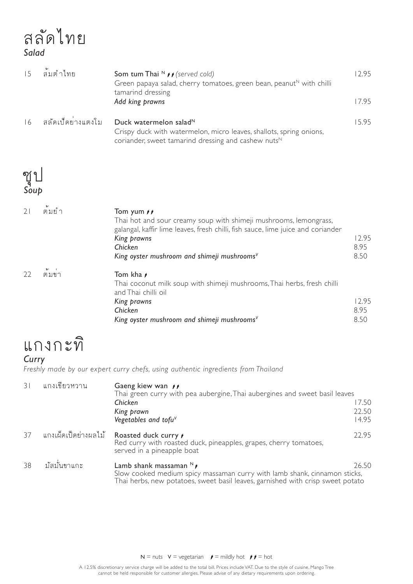# ÿลัดไทย *Salad*

|      | ล้มต่ำไทย                      | <b>Som tum Thai <math>N</math></b> $\rightarrow$ (served cold)<br>Green papaya salad, cherry tomatoes, green bean, peanut <sup><math>N</math></sup> with chilli<br>tamarind dressing<br>Add king prawns | 12.95<br>17.95 |
|------|--------------------------------|---------------------------------------------------------------------------------------------------------------------------------------------------------------------------------------------------------|----------------|
| 16   | สลัดเป็ดย <sup>่</sup> างแตงโม | Duck watermelon salad <sup><math>N</math></sup><br>Crispy duck with watermelon, micro leaves, shallots, spring onions,<br>coriander, sweet tamarind dressing and cashew nuts <sup>N</sup>               | 15.95          |
| ၅ု ရ |                                |                                                                                                                                                                                                         |                |

# ซุป *Soup*

|    | ต้มยำ      | Tom yum $\rightarrow \rightarrow$<br>Thai hot and sour creamy soup with shimeji mushrooms, lemongrass,<br>galangal, kaffir lime leaves, fresh chilli, fish sauce, lime juice and coriander<br>King prawns<br>Chicken<br>King oyster mushroom and shimeji mushrooms <sup>V</sup> | 12.95<br>8.95<br>8.50 |
|----|------------|---------------------------------------------------------------------------------------------------------------------------------------------------------------------------------------------------------------------------------------------------------------------------------|-----------------------|
| 22 | ิ์<br>ตมขา | Tom kha <i>r</i><br>Thai coconut milk soup with shimeji mushrooms, Thai herbs, fresh chilli<br>and Thai chilli oil<br>King prawns<br>Chicken<br>King oyster mushroom and shimeji mushroomsV                                                                                     | 12.95<br>8.95<br>8.50 |

# แกงกะทิ

#### *Curry*

*Freshly made by our expert curry chefs, using authentic ingredients from Thailand*

| 31 | แกงเขียวหวาน         | Gaeng kiew wan $\rightarrow$<br>Thai green curry with pea aubergine, Thai aubergines and sweet basil leaves<br>Chicken<br>King prawn<br>Vegetables and tofu $V$                         | 17.50<br>22.50<br>14.95 |
|----|----------------------|-----------------------------------------------------------------------------------------------------------------------------------------------------------------------------------------|-------------------------|
| 37 | แกงเผ็ดเป็ดย่างผลไม้ | Roasted duck curry <i>i</i><br>Red curry with roasted duck, pineapples, grapes, cherry tomatoes,<br>served in a pineapple boat                                                          | 22.95                   |
| 38 | มัสมั่นขาแกะ         | Lamb shank massaman $N$<br>Slow cooked medium spicy massaman curry with lamb shank, cinnamon sticks,<br>Thai herbs, new potatoes, sweet basil leaves, garnished with crisp sweet potato | 26.50                   |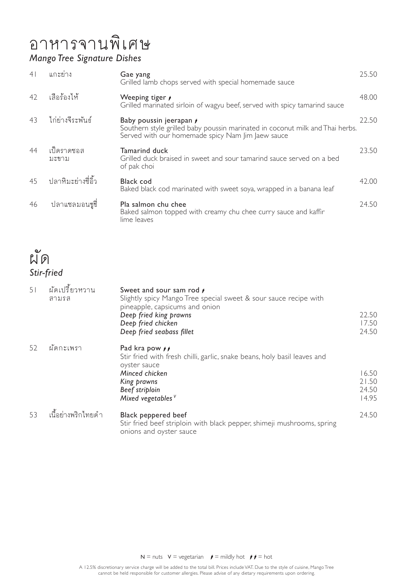### อาหารจานพิเศษ *Mango Tree Signature Dishes*

| 4 <sup>1</sup> | แกะย่าง             | Gae yang<br>Grilled lamb chops served with special homemade sauce                                                                                             | 25.50 |
|----------------|---------------------|---------------------------------------------------------------------------------------------------------------------------------------------------------------|-------|
| 42             | เสือร้องไห้         | Weeping tiger /<br>Grilled marinated sirloin of wagyu beef, served with spicy tamarind sauce                                                                  | 48.00 |
| 43             | ไก่ย่างจีระพันธ์    | Baby poussin jeerapan /<br>Southern style grilled baby poussin marinated in coconut milk and Thai herbs.<br>Served with our homemade spicy Nam Jim Jaew sauce | 22.50 |
| 44             | เป็ดราดซอส<br>มะขาม | <b>Tamarind duck</b><br>Grilled duck braised in sweet and sour tamarind sauce served on a bed<br>of pak choi                                                  | 23.50 |
| 45             | ปลาหิมะย่างชี่อิ้ว  | Black cod<br>Baked black cod marinated with sweet soya, wrapped in a banana leaf                                                                              | 42.00 |
| 46             | ปลาแซลมอนชูชี่      | Pla salmon chu chee<br>Baked salmon topped with creamy chu chee curry sauce and kaffir<br>lime leaves                                                         | 24.50 |



| 51 | ผัดเปรี้ยวหวาน<br>สามรส | Sweet and sour sam rod /<br>Slightly spicy Mango Tree special sweet & sour sauce recipe with<br>pineapple, capsicums and onion<br>Deep fried king prawns<br>Deep fried chicken<br>Deep fried seabass fillet | 22.50<br>17.50<br>24.50          |
|----|-------------------------|-------------------------------------------------------------------------------------------------------------------------------------------------------------------------------------------------------------|----------------------------------|
| 52 | ผัดกะเพรา               | Pad kra pow $\rightarrow$<br>Stir fried with fresh chilli, garlic, snake beans, holy basil leaves and<br>oyster sauce<br>Minced chicken<br>King prawns<br>Beef striploin<br>Mixed vegetables $V$            | 16.50<br>21.50<br>24.50<br>14.95 |
| 53 | เนื้อย่างพริกไทยดำ      | Black peppered beef<br>Stir fried beef striploin with black pepper, shimeji mushrooms, spring<br>onions and oyster sauce                                                                                    | 24.50                            |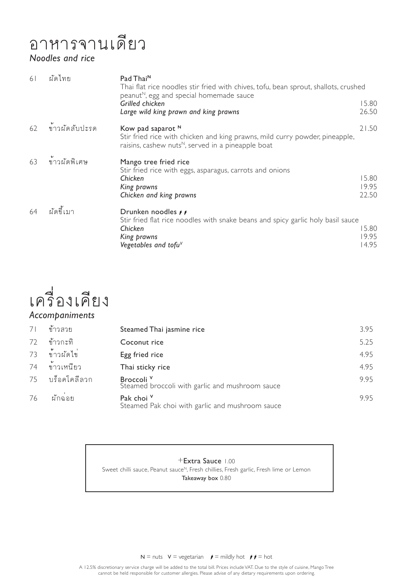# อาหารจานเดียว

#### *Noodles and rice*

| 6 <sup>1</sup> | ผัดไทย        | Pad Thai <sup>N</sup><br>Thai flat rice noodles stir fried with chives, tofu, bean sprout, shallots, crushed<br>peanut <sup>N</sup> , egg and special homemade sauce            |                         |
|----------------|---------------|---------------------------------------------------------------------------------------------------------------------------------------------------------------------------------|-------------------------|
|                |               | Grilled chicken<br>Large wild king prawn and king prawns                                                                                                                        | 15.80<br>26.50          |
| 62             | ขาวผัดสับปะรด | Kow pad saparot N<br>Stir fried rice with chicken and king prawns, mild curry powder, pineapple,<br>raisins, cashew nuts <sup><math>N</math></sup> , served in a pineapple boat | 21.50                   |
| 63             | ข้าวผัดพิเศษ  | Mango tree fried rice<br>Stir fried rice with eggs, asparagus, carrots and onions<br>Chicken<br>King prawns<br>Chicken and king prawns                                          | 15.80<br>19.95<br>22.50 |
| 64             | ผัดขี้เมา     | Drunken noodles <i>i</i><br>Stir fried flat rice noodles with snake beans and spicy garlic holy basil sauce<br>Chicken<br>King prawns<br>Vegetables and tofu $V$                | 15.80<br>19.95<br>14.95 |



| 7 <sup>1</sup> | ข้าวสวย      | Steamed Thai jasmine rice                                                | 3.95 |
|----------------|--------------|--------------------------------------------------------------------------|------|
| 72             | ข้าวกะทิ     | Coconut rice                                                             | 5.25 |
| 73             | ข้าวผัดไข่   | Egg fried rice                                                           | 4.95 |
| 74             | ข้าวเหนียว   | Thai sticky rice                                                         | 4.95 |
| 75             | บร็อคโคลีลวก | Broccoli <sup>v</sup><br>Steamed broccoli with garlic and mushroom sauce | 9.95 |
| 76             | ผักฉ่อย      | Pak choi V<br>Steamed Pak choi with garlic and mushroom sauce            | 9.95 |

+Extra Sauce 1.00 Sweet chilli sauce, Peanut sauce<sup>N</sup>, Fresh chillies, Fresh garlic, Fresh lime or Lemon Takeaway box 0.80